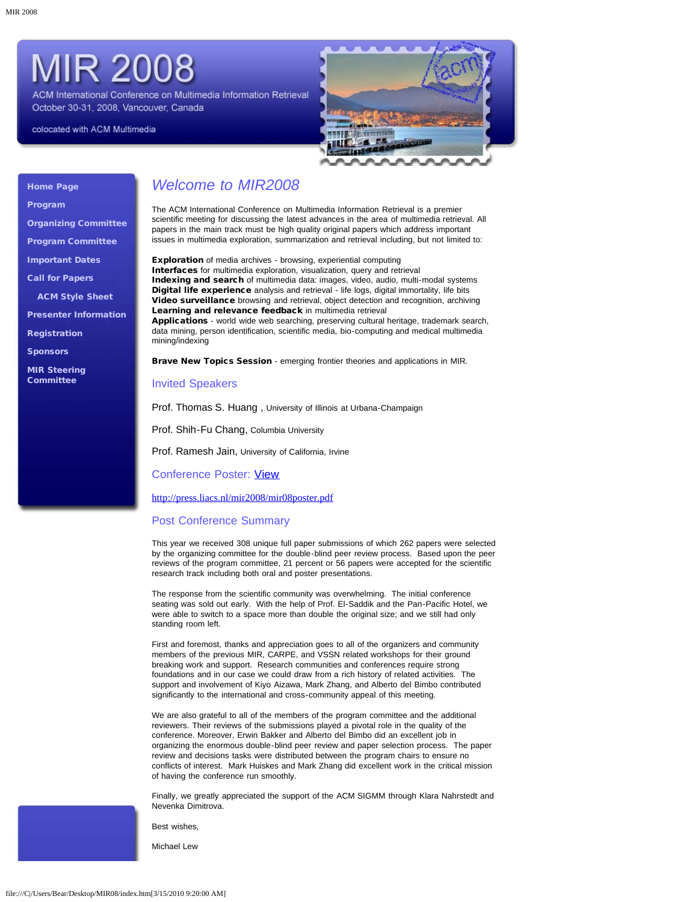# **MIR 2008**

ACM International Conference on Multimedia Information Retrieval October 30-31, 2008, Vancouver, Canada

colocated with ACM Multimedia



### [Home Page](#page-2-0)

[Program](#page-4-0)

[Organizing Committee](#page-9-0)

[Program Committee](#page-10-0)

[Important Dates](#page-11-0) [Call for Papers](#page-12-0)

[ACM Style Sheet](javascript:if(confirm()

[Presenter Information](#page-14-0)

[Registration](#page-15-0)

**[Sponsors](#page-16-0)** 

[MIR Steering](#page-17-0) [Committee](#page-17-0)

### *Welcome to MIR2008*

The ACM International Conference on Multimedia Information Retrieval is a premier scientific meeting for discussing the latest advances in the area of multimedia retrieval. All papers in the main track must be high quality original papers which address important issues in multimedia exploration, summarization and retrieval including, but not limited to:

Exploration of media archives - browsing, experiential computing Interfaces for multimedia exploration, visualization, query and retrieval Indexing and search of multimedia data: images, video, audio, multi-modal systems Digital life experience analysis and retrieval - life logs, digital immortality, life bits Video surveillance browsing and retrieval, object detection and recognition, archiving Learning and relevance feedback in multimedia retrieval Applications - world wide web searching, preserving cultural heritage, trademark search,

data mining, person identification, scientific media, bio-computing and medical multimedia mining/indexing

Brave New Topics Session - emerging frontier theories and applications in MIR.

### Invited Speakers

Prof. Thomas S. Huang , University of Illinois at Urbana-Champaign

Prof. Shih-Fu Chang, Columbia University

Prof. Ramesh Jain, University of California, Irvine

Conference Poster: [View](#page-18-0)

[http://press.liacs.nl/mir2008/mir08poster.pdf](#page-18-0)

### Post Conference Summary

This year we received 308 unique full paper submissions of which 262 papers were selected by the organizing committee for the double-blind peer review process. Based upon the peer reviews of the program committee, 21 percent or 56 papers were accepted for the scientific research track including both oral and poster presentations.

The response from the scientific community was overwhelming. The initial conference seating was sold out early. With the help of Prof. El-Saddik and the Pan-Pacific Hotel, we were able to switch to a space more than double the original size; and we still had only standing room left.

First and foremost, thanks and appreciation goes to all of the organizers and community members of the previous MIR, CARPE, and VSSN related workshops for their ground breaking work and support. Research communities and conferences require strong foundations and in our case we could draw from a rich history of related activities. The support and involvement of Kiyo Aizawa, Mark Zhang, and Alberto del Bimbo contributed significantly to the international and cross-community appeal of this meeting.

We are also grateful to all of the members of the program committee and the additional reviewers. Their reviews of the submissions played a pivotal role in the quality of the conference. Moreover, Erwin Bakker and Alberto del Bimbo did an excellent job in organizing the enormous double-blind peer review and paper selection process. The paper review and decisions tasks were distributed between the program chairs to ensure no conflicts of interest. Mark Huiskes and Mark Zhang did excellent work in the critical mission of having the conference run smoothly.

Finally, we greatly appreciated the support of the ACM SIGMM through Klara Nahrstedt and Nevenka Dimitrova.

Best wishes,

Michael Lew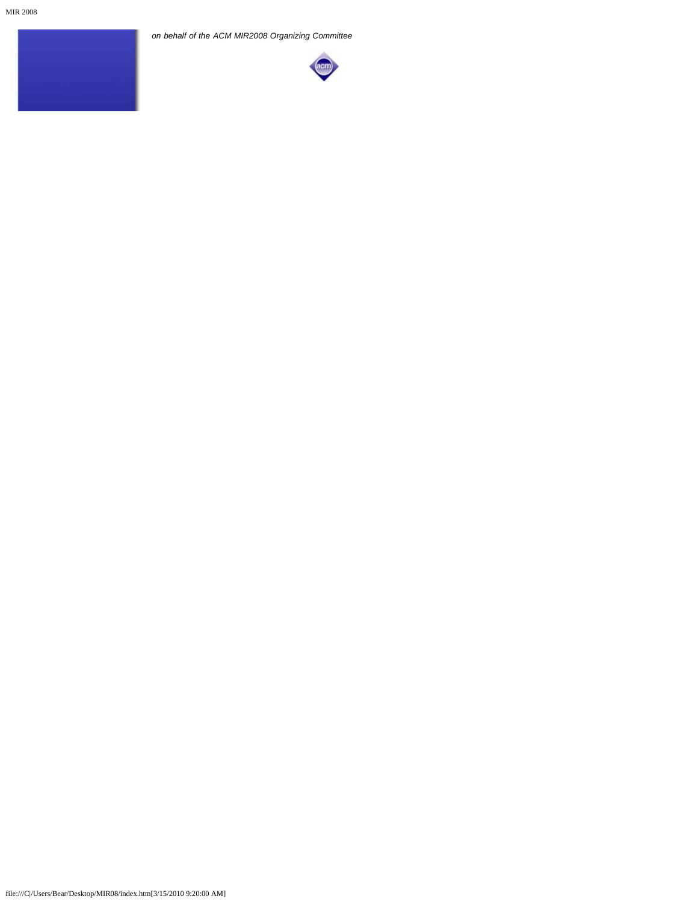*on behalf of the ACM MIR2008 Organizing Committee*

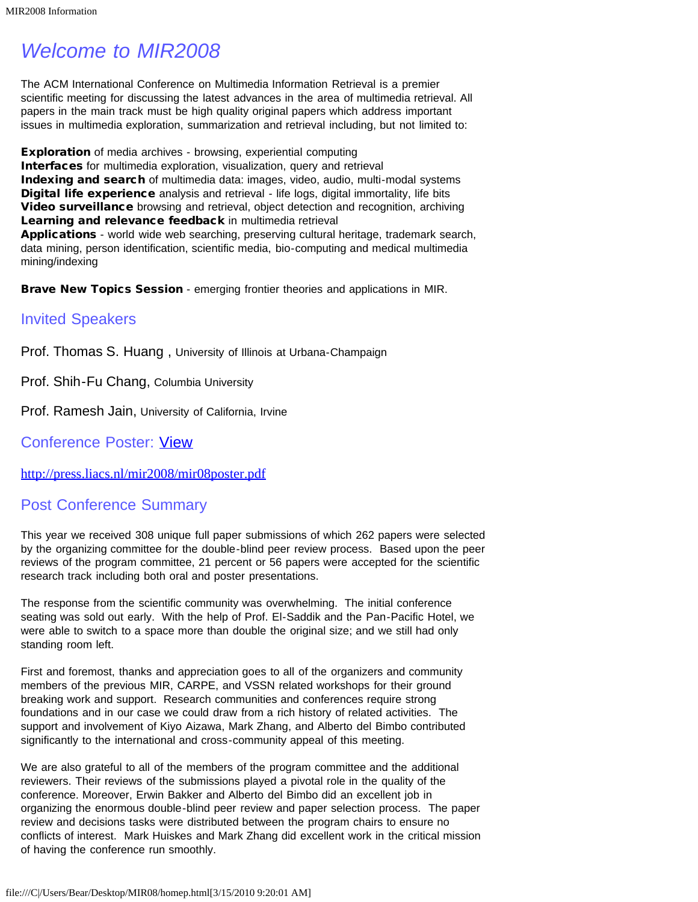# <span id="page-2-0"></span>*Welcome to MIR2008*

The ACM International Conference on Multimedia Information Retrieval is a premier scientific meeting for discussing the latest advances in the area of multimedia retrieval. All papers in the main track must be high quality original papers which address important issues in multimedia exploration, summarization and retrieval including, but not limited to:

**Exploration** of media archives - browsing, experiential computing Interfaces for multimedia exploration, visualization, query and retrieval Indexing and search of multimedia data: images, video, audio, multi-modal systems Digital life experience analysis and retrieval - life logs, digital immortality, life bits Video surveillance browsing and retrieval, object detection and recognition, archiving Learning and relevance feedback in multimedia retrieval Applications - world wide web searching, preserving cultural heritage, trademark search, data mining, person identification, scientific media, bio-computing and medical multimedia mining/indexing

Brave New Topics Session - emerging frontier theories and applications in MIR.

### Invited Speakers

Prof. Thomas S. Huang , University of Illinois at Urbana-Champaign

Prof. Shih-Fu Chang, Columbia University

Prof. Ramesh Jain, University of California, Irvine

### Conference Poster: [View](#page-18-0)

[http://press.liacs.nl/mir2008/mir08poster.pdf](#page-18-0)

### Post Conference Summary

This year we received 308 unique full paper submissions of which 262 papers were selected by the organizing committee for the double-blind peer review process. Based upon the peer reviews of the program committee, 21 percent or 56 papers were accepted for the scientific research track including both oral and poster presentations.

The response from the scientific community was overwhelming. The initial conference seating was sold out early. With the help of Prof. El-Saddik and the Pan-Pacific Hotel, we were able to switch to a space more than double the original size; and we still had only standing room left.

First and foremost, thanks and appreciation goes to all of the organizers and community members of the previous MIR, CARPE, and VSSN related workshops for their ground breaking work and support. Research communities and conferences require strong foundations and in our case we could draw from a rich history of related activities. The support and involvement of Kiyo Aizawa, Mark Zhang, and Alberto del Bimbo contributed significantly to the international and cross-community appeal of this meeting.

We are also grateful to all of the members of the program committee and the additional reviewers. Their reviews of the submissions played a pivotal role in the quality of the conference. Moreover, Erwin Bakker and Alberto del Bimbo did an excellent job in organizing the enormous double-blind peer review and paper selection process. The paper review and decisions tasks were distributed between the program chairs to ensure no conflicts of interest. Mark Huiskes and Mark Zhang did excellent work in the critical mission of having the conference run smoothly.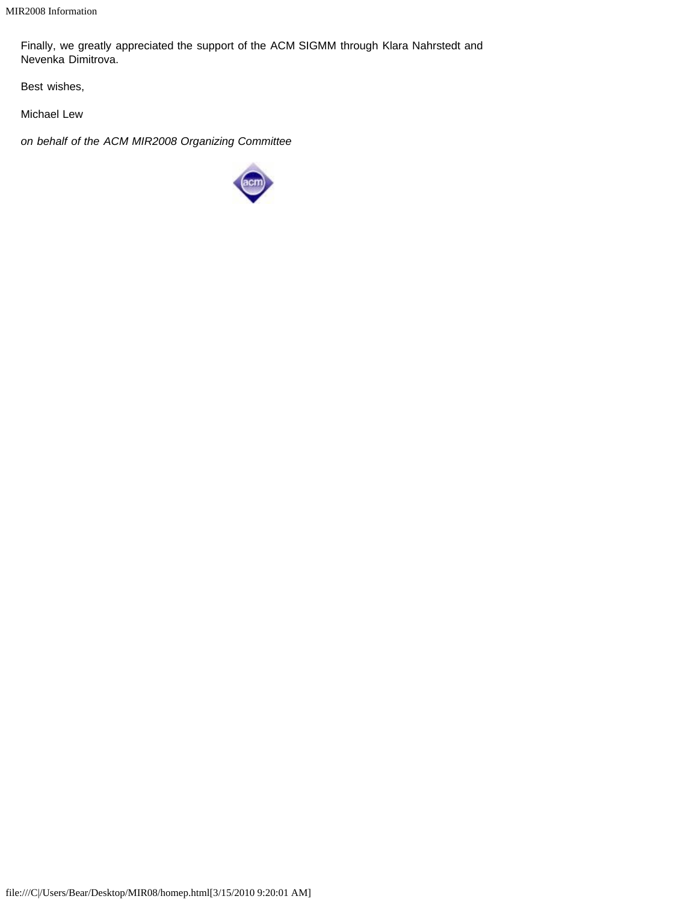Finally, we greatly appreciated the support of the ACM SIGMM through Klara Nahrstedt and Nevenka Dimitrova.

Best wishes,

Michael Lew

*on behalf of the ACM MIR2008 Organizing Committee*

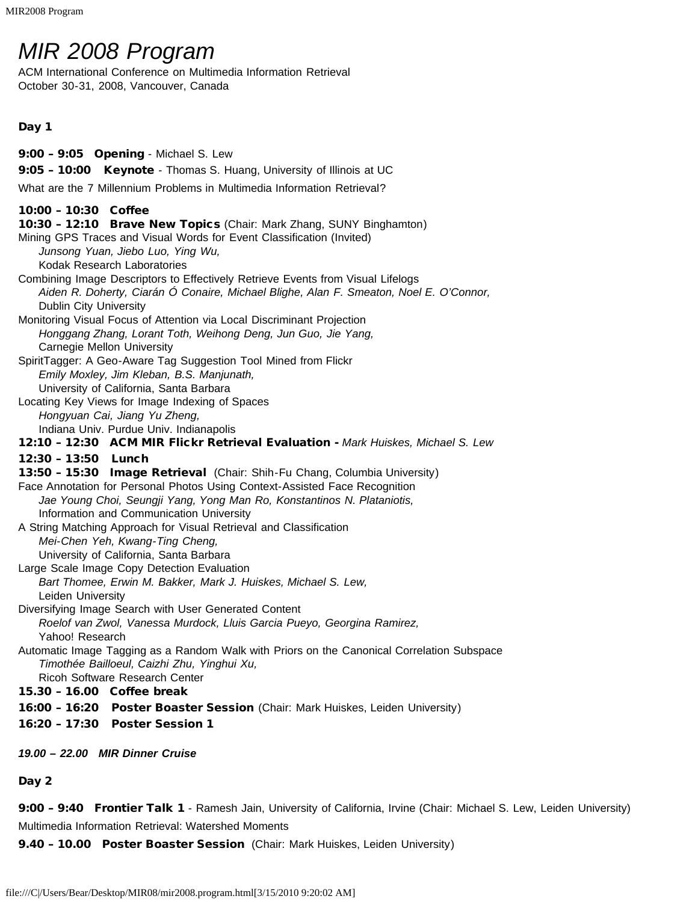# <span id="page-4-0"></span>*MIR 2008 Program*

ACM International Conference on Multimedia Information Retrieval October 30-31, 2008, Vancouver, Canada

### Day 1

9:00 – 9:05 Opening - Michael S. Lew 9:05 - 10:00 Keynote - Thomas S. Huang, University of Illinois at UC What are the 7 Millennium Problems in Multimedia Information Retrieval? 10:00 – 10:30 Coffee 10:30 - 12:10 Brave New Topics (Chair: Mark Zhang, SUNY Binghamton) Mining GPS Traces and Visual Words for Event Classification (Invited) *Junsong Yuan, Jiebo Luo, Ying Wu,* Kodak Research Laboratories Combining Image Descriptors to Effectively Retrieve Events from Visual Lifelogs *Aiden R. Doherty, Ciarán Ó Conaire, Michael Blighe, Alan F. Smeaton, Noel E. O'Connor,* Dublin City University Monitoring Visual Focus of Attention via Local Discriminant Projection *Honggang Zhang, Lorant Toth, Weihong Deng, Jun Guo, Jie Yang,* Carnegie Mellon University SpiritTagger: A Geo-Aware Tag Suggestion Tool Mined from Flickr *Emily Moxley, Jim Kleban, B.S. Manjunath,* University of California, Santa Barbara Locating Key Views for Image Indexing of Spaces *Hongyuan Cai, Jiang Yu Zheng,* Indiana Univ. Purdue Univ. Indianapolis 12:10 – 12:30 ACM MIR Flickr Retrieval Evaluation - *Mark Huiskes, Michael S. Lew* 12:30 – 13:50 Lunch 13:50 - 15:30 Image Retrieval (Chair: Shih-Fu Chang, Columbia University) Face Annotation for Personal Photos Using Context-Assisted Face Recognition *Jae Young Choi, Seungji Yang, Yong Man Ro, Konstantinos N. Plataniotis,* Information and Communication University A String Matching Approach for Visual Retrieval and Classification *Mei-Chen Yeh, Kwang-Ting Cheng,* University of California, Santa Barbara Large Scale Image Copy Detection Evaluation *Bart Thomee, Erwin M. Bakker, Mark J. Huiskes, Michael S. Lew,* Leiden University Diversifying Image Search with User Generated Content *Roelof van Zwol, Vanessa Murdock, Lluis Garcia Pueyo, Georgina Ramirez,* Yahoo! Research Automatic Image Tagging as a Random Walk with Priors on the Canonical Correlation Subspace *Timothée Bailloeul, Caizhi Zhu, Yinghui Xu,* Ricoh Software Research Center 15.30 – 16.00 Coffee break 16:00 - 16:20 Poster Boaster Session (Chair: Mark Huiskes, Leiden University) 16:20 – 17:30 Poster Session 1 *19.00 – 22.00 MIR Dinner Cruise*

Day 2

9:00 - 9:40 Frontier Talk 1 - Ramesh Jain, University of California, Irvine (Chair: Michael S. Lew, Leiden University) Multimedia Information Retrieval: Watershed Moments

9.40 - 10.00 Poster Boaster Session (Chair: Mark Huiskes, Leiden University)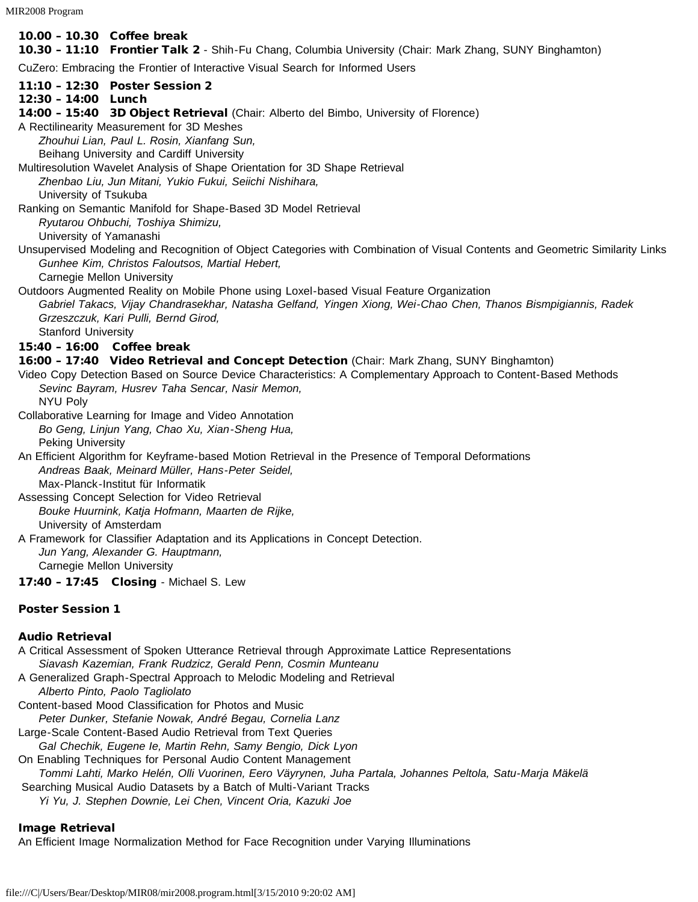MIR2008 Program

### 10.00 – 10.30 Coffee break

10.30 - 11:10 Frontier Talk 2 - Shih-Fu Chang, Columbia University (Chair: Mark Zhang, SUNY Binghamton)

CuZero: Embracing the Frontier of Interactive Visual Search for Informed Users

- 11:10 12:30 Poster Session 2
- 12:30 14:00 Lunch
- 14:00 15:40 3D Object Retrieval (Chair: Alberto del Bimbo, University of Florence)
- A Rectilinearity Measurement for 3D Meshes

*Zhouhui Lian, Paul L. Rosin, Xianfang Sun,*

Beihang University and Cardiff University

Multiresolution Wavelet Analysis of Shape Orientation for 3D Shape Retrieval *Zhenbao Liu, Jun Mitani, Yukio Fukui, Seiichi Nishihara,*

University of Tsukuba

Ranking on Semantic Manifold for Shape-Based 3D Model Retrieval *Ryutarou Ohbuchi, Toshiya Shimizu,*

University of Yamanashi

Unsupervised Modeling and Recognition of Object Categories with Combination of Visual Contents and Geometric Similarity Links *Gunhee Kim, Christos Faloutsos, Martial Hebert,*

Carnegie Mellon University

Outdoors Augmented Reality on Mobile Phone using Loxel-based Visual Feature Organization

*Gabriel Takacs, Vijay Chandrasekhar, Natasha Gelfand, Yingen Xiong, Wei-Chao Chen, Thanos Bismpigiannis, Radek Grzeszczuk, Kari Pulli, Bernd Girod,*

Stanford University

### 15:40 – 16:00 Coffee break

16:00 – 17:40 Video Retrieval and Concept Detection (Chair: Mark Zhang, SUNY Binghamton)

Video Copy Detection Based on Source Device Characteristics: A Complementary Approach to Content-Based Methods *Sevinc Bayram, Husrev Taha Sencar, Nasir Memon,* NYU Poly

Collaborative Learning for Image and Video Annotation *Bo Geng, Linjun Yang, Chao Xu, Xian-Sheng Hua,* Peking University

An Efficient Algorithm for Keyframe-based Motion Retrieval in the Presence of Temporal Deformations *Andreas Baak, Meinard Müller, Hans-Peter Seidel,* Max-Planck-Institut für Informatik

Assessing Concept Selection for Video Retrieval *Bouke Huurnink, Katja Hofmann, Maarten de Rijke,* University of Amsterdam

A Framework for Classifier Adaptation and its Applications in Concept Detection. *Jun Yang, Alexander G. Hauptmann,* Carnegie Mellon University

17:40 – 17:45 Closing - Michael S. Lew

### Poster Session 1

### Audio Retrieval

A Critical Assessment of Spoken Utterance Retrieval through Approximate Lattice Representations *Siavash Kazemian, Frank Rudzicz, Gerald Penn, Cosmin Munteanu* A Generalized Graph-Spectral Approach to Melodic Modeling and Retrieval *Alberto Pinto, Paolo Tagliolato* Content-based Mood Classification for Photos and Music *Peter Dunker, Stefanie Nowak, André Begau, Cornelia Lanz* Large-Scale Content-Based Audio Retrieval from Text Queries *Gal Chechik, Eugene Ie, Martin Rehn, Samy Bengio, Dick Lyon* On Enabling Techniques for Personal Audio Content Management *Tommi Lahti, Marko Helén, Olli Vuorinen, Eero Väyrynen, Juha Partala, Johannes Peltola, Satu-Marja Mäkelä* Searching Musical Audio Datasets by a Batch of Multi-Variant Tracks *Yi Yu, J. Stephen Downie, Lei Chen, Vincent Oria, Kazuki Joe*

### Image Retrieval

An Efficient Image Normalization Method for Face Recognition under Varying Illuminations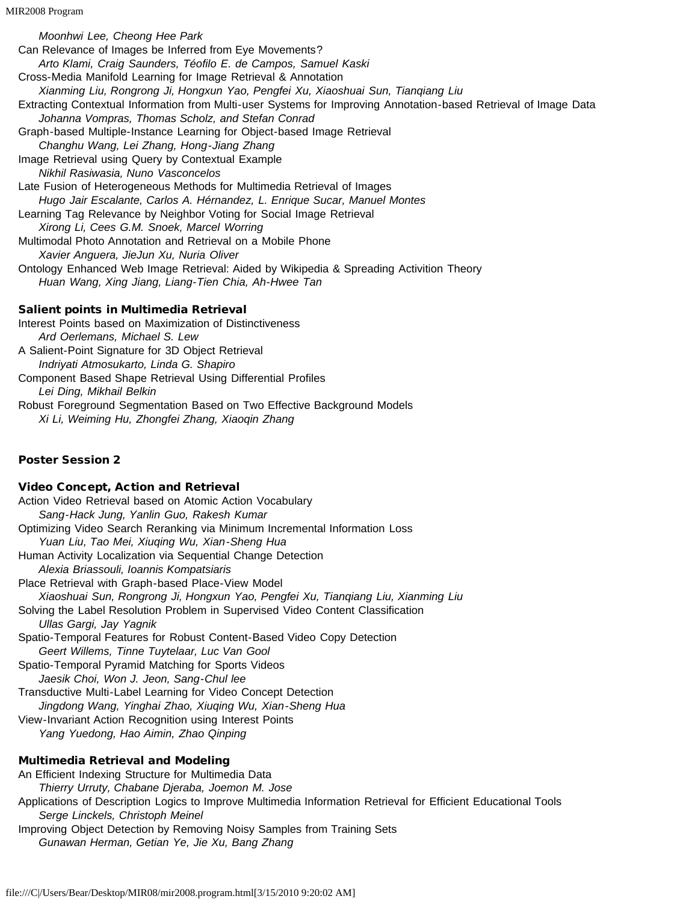*Moonhwi Lee, Cheong Hee Park* Can Relevance of Images be Inferred from Eye Movements? *Arto Klami, Craig Saunders, Téofilo E. de Campos, Samuel Kaski* Cross-Media Manifold Learning for Image Retrieval & Annotation *Xianming Liu, Rongrong Ji, Hongxun Yao, Pengfei Xu, Xiaoshuai Sun, Tianqiang Liu* Extracting Contextual Information from Multi-user Systems for Improving Annotation-based Retrieval of Image Data *Johanna Vompras, Thomas Scholz, and Stefan Conrad* Graph-based Multiple-Instance Learning for Object-based Image Retrieval *Changhu Wang, Lei Zhang, Hong-Jiang Zhang* Image Retrieval using Query by Contextual Example *Nikhil Rasiwasia, Nuno Vasconcelos* Late Fusion of Heterogeneous Methods for Multimedia Retrieval of Images *Hugo Jair Escalante, Carlos A. Hérnandez, L. Enrique Sucar, Manuel Montes* Learning Tag Relevance by Neighbor Voting for Social Image Retrieval *Xirong Li, Cees G.M. Snoek, Marcel Worring* Multimodal Photo Annotation and Retrieval on a Mobile Phone *Xavier Anguera, JieJun Xu, Nuria Oliver* Ontology Enhanced Web Image Retrieval: Aided by Wikipedia & Spreading Activition Theory *Huan Wang, Xing Jiang, Liang-Tien Chia, Ah-Hwee Tan* Salient points in Multimedia Retrieval Interest Points based on Maximization of Distinctiveness *Ard Oerlemans, Michael S. Lew* A Salient-Point Signature for 3D Object Retrieval *Indriyati Atmosukarto, Linda G. Shapiro*

Component Based Shape Retrieval Using Differential Profiles *Lei Ding, Mikhail Belkin* Robust Foreground Segmentation Based on Two Effective Background Models *Xi Li, Weiming Hu, Zhongfei Zhang, Xiaoqin Zhang*

### Poster Session 2

### Video Concept, Action and Retrieval

Action Video Retrieval based on Atomic Action Vocabulary *Sang-Hack Jung, Yanlin Guo, Rakesh Kumar* Optimizing Video Search Reranking via Minimum Incremental Information Loss *Yuan Liu, Tao Mei, Xiuqing Wu, Xian-Sheng Hua* Human Activity Localization via Sequential Change Detection *Alexia Briassouli, Ioannis Kompatsiaris* Place Retrieval with Graph-based Place-View Model *Xiaoshuai Sun, Rongrong Ji, Hongxun Yao, Pengfei Xu, Tianqiang Liu, Xianming Liu* Solving the Label Resolution Problem in Supervised Video Content Classification *Ullas Gargi, Jay Yagnik* Spatio-Temporal Features for Robust Content-Based Video Copy Detection *Geert Willems, Tinne Tuytelaar, Luc Van Gool* Spatio-Temporal Pyramid Matching for Sports Videos *Jaesik Choi, Won J. Jeon, Sang-Chul lee* Transductive Multi-Label Learning for Video Concept Detection *Jingdong Wang, Yinghai Zhao, Xiuqing Wu, Xian-Sheng Hua* View-Invariant Action Recognition using Interest Points *Yang Yuedong, Hao Aimin, Zhao Qinping*

### Multimedia Retrieval and Modeling

An Efficient Indexing Structure for Multimedia Data *Thierry Urruty, Chabane Djeraba, Joemon M. Jose* Applications of Description Logics to Improve Multimedia Information Retrieval for Efficient Educational Tools *Serge Linckels, Christoph Meinel* Improving Object Detection by Removing Noisy Samples from Training Sets *Gunawan Herman, Getian Ye, Jie Xu, Bang Zhang*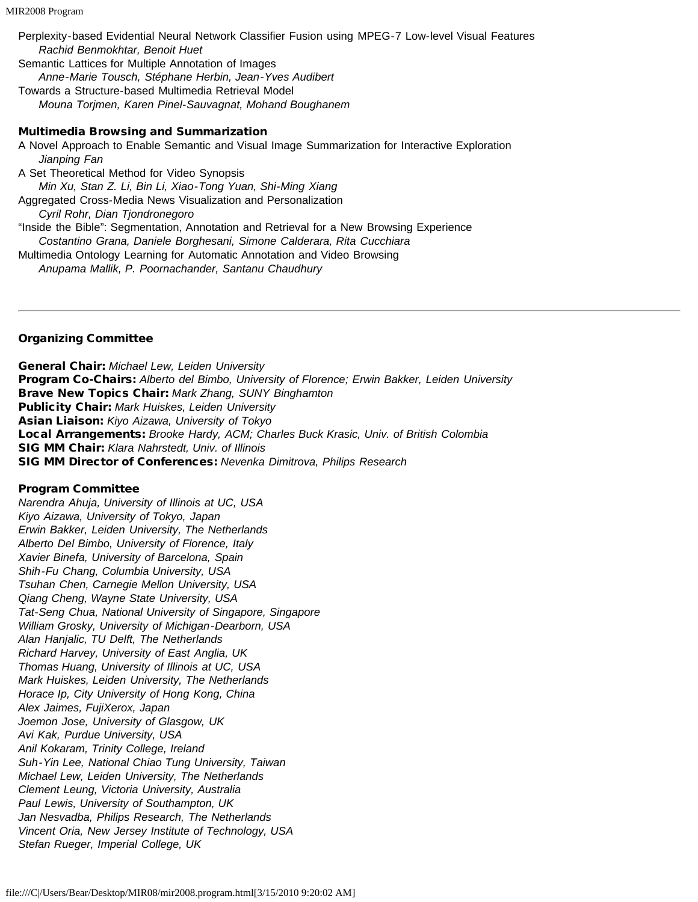Perplexity-based Evidential Neural Network Classifier Fusion using MPEG-7 Low-level Visual Features *Rachid Benmokhtar, Benoit Huet* Semantic Lattices for Multiple Annotation of Images *Anne-Marie Tousch, Stéphane Herbin, Jean-Yves Audibert*

Towards a Structure-based Multimedia Retrieval Model *Mouna Torjmen, Karen Pinel-Sauvagnat, Mohand Boughanem*

### Multimedia Browsing and Summarization

A Novel Approach to Enable Semantic and Visual Image Summarization for Interactive Exploration *Jianping Fan* A Set Theoretical Method for Video Synopsis *Min Xu, Stan Z. Li, Bin Li, Xiao-Tong Yuan, Shi-Ming Xiang* Aggregated Cross-Media News Visualization and Personalization *Cyril Rohr, Dian Tjondronegoro* "Inside the Bible": Segmentation, Annotation and Retrieval for a New Browsing Experience *Costantino Grana, Daniele Borghesani, Simone Calderara, Rita Cucchiara* Multimedia Ontology Learning for Automatic Annotation and Video Browsing *Anupama Mallik, P. Poornachander, Santanu Chaudhury*

### Organizing Committee

General Chair: *Michael Lew, Leiden University* Program Co-Chairs: *Alberto del Bimbo, University of Florence; Erwin Bakker, Leiden University* Brave New Topics Chair: *Mark Zhang, SUNY Binghamton* Publicity Chair: *Mark Huiskes, Leiden University* Asian Liaison: *Kiyo Aizawa, University of Tokyo* Local Arrangements: *Brooke Hardy, ACM; Charles Buck Krasic, Univ. of British Colombia* SIG MM Chair: *Klara Nahrstedt, Univ. of Illinois* SIG MM Director of Conferences: *Nevenka Dimitrova, Philips Research*

### Program Committee

*Narendra Ahuja, University of Illinois at UC, USA Kiyo Aizawa, University of Tokyo, Japan Erwin Bakker, Leiden University, The Netherlands Alberto Del Bimbo, University of Florence, Italy Xavier Binefa, University of Barcelona, Spain Shih-Fu Chang, Columbia University, USA Tsuhan Chen, Carnegie Mellon University, USA Qiang Cheng, Wayne State University, USA Tat-Seng Chua, National University of Singapore, Singapore William Grosky, University of Michigan-Dearborn, USA Alan Hanjalic, TU Delft, The Netherlands Richard Harvey, University of East Anglia, UK Thomas Huang, University of Illinois at UC, USA Mark Huiskes, Leiden University, The Netherlands Horace Ip, City University of Hong Kong, China Alex Jaimes, FujiXerox, Japan Joemon Jose, University of Glasgow, UK Avi Kak, Purdue University, USA Anil Kokaram, Trinity College, Ireland Suh-Yin Lee, National Chiao Tung University, Taiwan Michael Lew, Leiden University, The Netherlands Clement Leung, Victoria University, Australia Paul Lewis, University of Southampton, UK Jan Nesvadba, Philips Research, The Netherlands Vincent Oria, New Jersey Institute of Technology, USA Stefan Rueger, Imperial College, UK*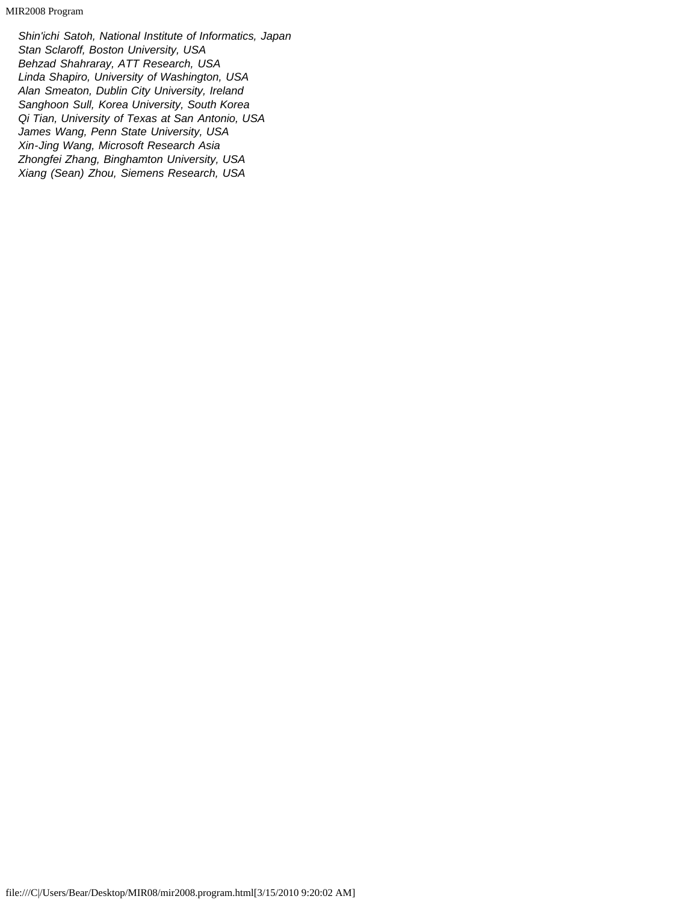MIR2008 Program

*Shin'ichi Satoh, National Institute of Informatics, Japan Stan Sclaroff, Boston University, USA Behzad Shahraray, ATT Research, USA Linda Shapiro, University of Washington, USA Alan Smeaton, Dublin City University, Ireland Sanghoon Sull, Korea University, South Korea Qi Tian, University of Texas at San Antonio, USA James Wang, Penn State University, USA Xin-Jing Wang, Microsoft Research Asia Zhongfei Zhang, Binghamton University, USA Xiang (Sean) Zhou, Siemens Research, USA*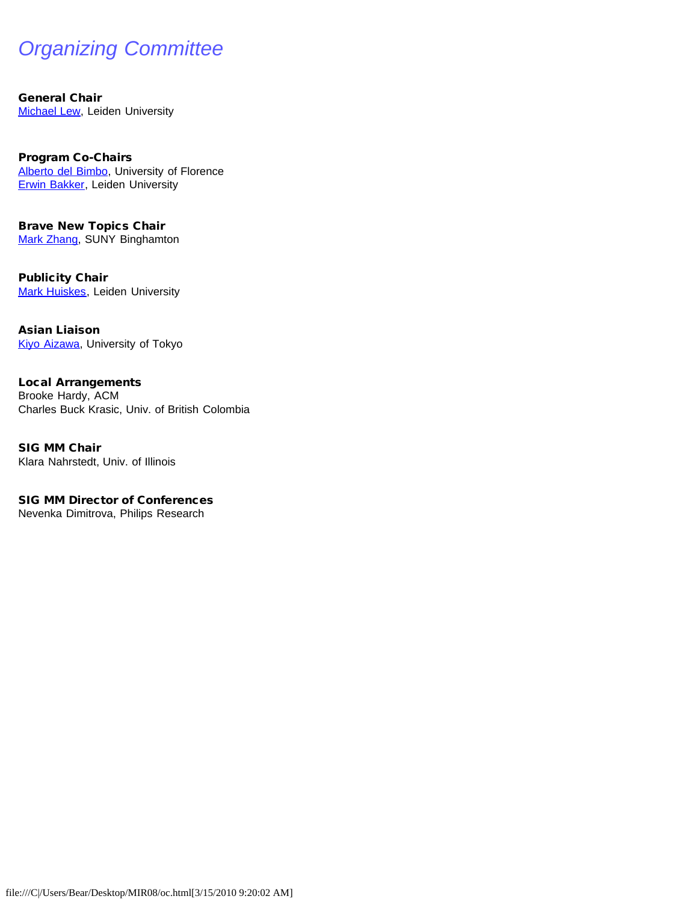# <span id="page-9-0"></span>*Organizing Committee*

General Chair **[Michael Lew,](javascript:if(confirm() Leiden University** 

Program Co-Chairs [Alberto del Bimbo,](javascript:if(confirm() University of Florence [Erwin Bakker,](javascript:if(confirm() Leiden University

Brave New Topics Chair [Mark Zhang,](javascript:if(confirm() SUNY Binghamton

Publicity Chair **[Mark Huiskes](javascript:if(confirm(), Leiden University** 

Asian Liaison [Kiyo Aizawa](javascript:if(confirm(), University of Tokyo

Local Arrangements Brooke Hardy, ACM Charles Buck Krasic, Univ. of British Colombia

SIG MM Chair Klara Nahrstedt, Univ. of Illinois

SIG MM Director of Conferences Nevenka Dimitrova, Philips Research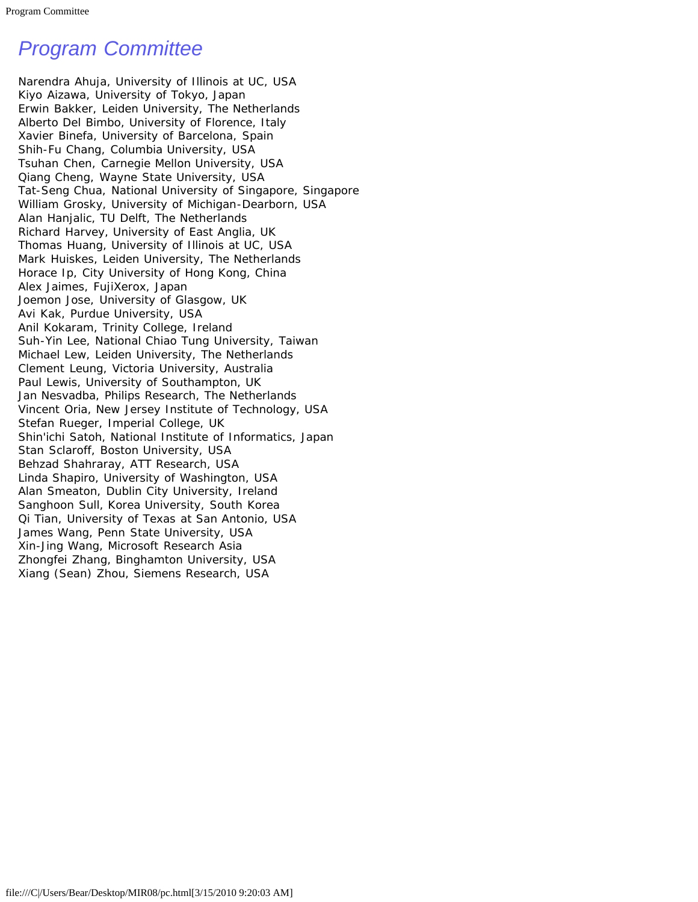# <span id="page-10-0"></span>*Program Committee*

Narendra Ahuja, University of Illinois at UC, USA Kiyo Aizawa, University of Tokyo, Japan Erwin Bakker, Leiden University, The Netherlands Alberto Del Bimbo, University of Florence, Italy Xavier Binefa, University of Barcelona, Spain Shih-Fu Chang, Columbia University, USA Tsuhan Chen, Carnegie Mellon University, USA Qiang Cheng, Wayne State University, USA Tat-Seng Chua, National University of Singapore, Singapore William Grosky, University of Michigan-Dearborn, USA Alan Hanjalic, TU Delft, The Netherlands Richard Harvey, University of East Anglia, UK Thomas Huang, University of Illinois at UC, USA Mark Huiskes, Leiden University, The Netherlands Horace Ip, City University of Hong Kong, China Alex Jaimes, FujiXerox, Japan Joemon Jose, University of Glasgow, UK Avi Kak, Purdue University, USA Anil Kokaram, Trinity College, Ireland Suh-Yin Lee, National Chiao Tung University, Taiwan Michael Lew, Leiden University, The Netherlands Clement Leung, Victoria University, Australia Paul Lewis, University of Southampton, UK Jan Nesvadba, Philips Research, The Netherlands Vincent Oria, New Jersey Institute of Technology, USA Stefan Rueger, Imperial College, UK Shin'ichi Satoh, National Institute of Informatics, Japan Stan Sclaroff, Boston University, USA Behzad Shahraray, ATT Research, USA Linda Shapiro, University of Washington, USA Alan Smeaton, Dublin City University, Ireland Sanghoon Sull, Korea University, South Korea Qi Tian, University of Texas at San Antonio, USA James Wang, Penn State University, USA Xin-Jing Wang, Microsoft Research Asia Zhongfei Zhang, Binghamton University, USA Xiang (Sean) Zhou, Siemens Research, USA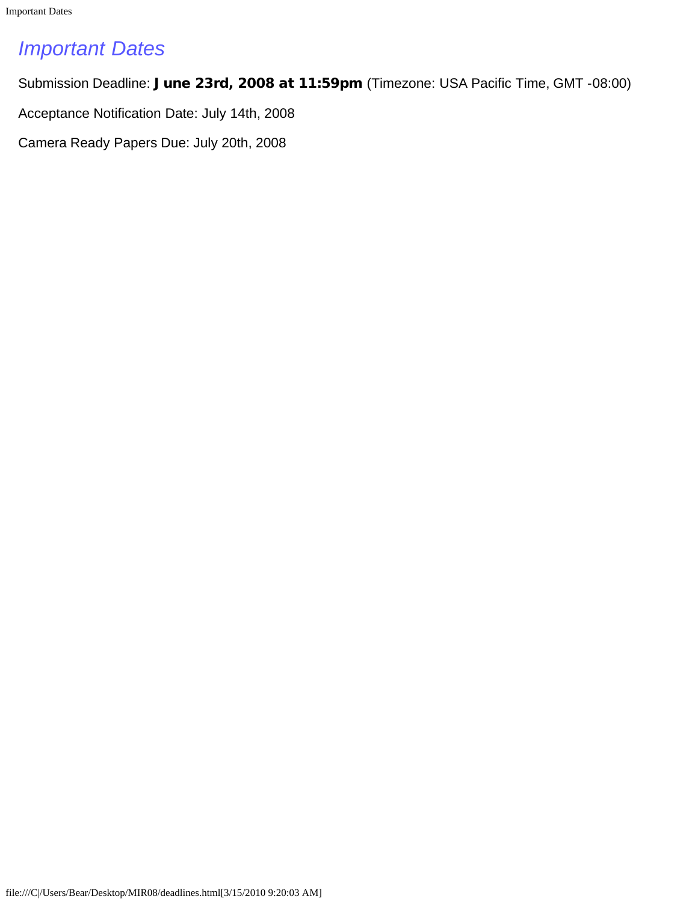<span id="page-11-0"></span>Important Dates

# *Important Dates*

Submission Deadline: June 23rd, 2008 at 11:59pm (Timezone: USA Pacific Time, GMT -08:00)

Acceptance Notification Date: July 14th, 2008

Camera Ready Papers Due: July 20th, 2008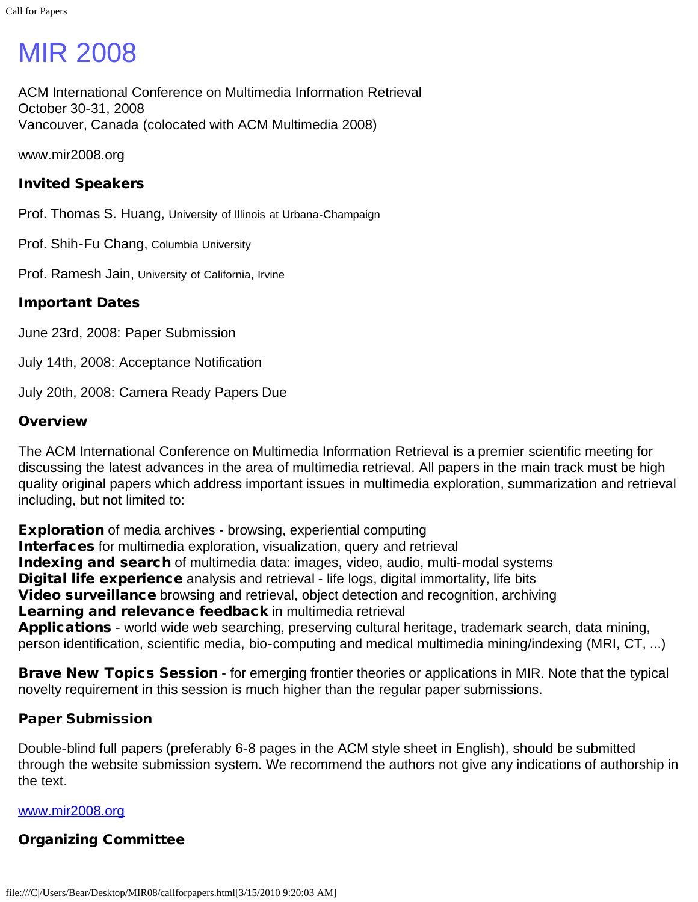# <span id="page-12-0"></span>MIR 2008

ACM International Conference on Multimedia Information Retrieval October 30-31, 2008 Vancouver, Canada (colocated with ACM Multimedia 2008)

www.mir2008.org

### Invited Speakers

Prof. Thomas S. Huang, University of Illinois at Urbana-Champaign

Prof. Shih-Fu Chang, Columbia University

Prof. Ramesh Jain, University of California, Irvine

### Important Dates

June 23rd, 2008: Paper Submission

July 14th, 2008: Acceptance Notification

July 20th, 2008: Camera Ready Papers Due

### **Overview**

The ACM International Conference on Multimedia Information Retrieval is a premier scientific meeting for discussing the latest advances in the area of multimedia retrieval. All papers in the main track must be high quality original papers which address important issues in multimedia exploration, summarization and retrieval including, but not limited to:

**Exploration** of media archives - browsing, experiential computing Interfaces for multimedia exploration, visualization, query and retrieval Indexing and search of multimedia data: images, video, audio, multi-modal systems Digital life experience analysis and retrieval - life logs, digital immortality, life bits Video surveillance browsing and retrieval, object detection and recognition, archiving Learning and relevance feedback in multimedia retrieval Applications - world wide web searching, preserving cultural heritage, trademark search, data mining, person identification, scientific media, bio-computing and medical multimedia mining/indexing (MRI, CT, ...)

**Brave New Topics Session** - for emerging frontier theories or applications in MIR. Note that the typical novelty requirement in this session is much higher than the regular paper submissions.

### Paper Submission

Double-blind full papers (preferably 6-8 pages in the ACM style sheet in English), should be submitted through the website submission system. We recommend the authors not give any indications of authorship in the text.

### [www.mir2008.org](javascript:if(confirm()

### Organizing Committee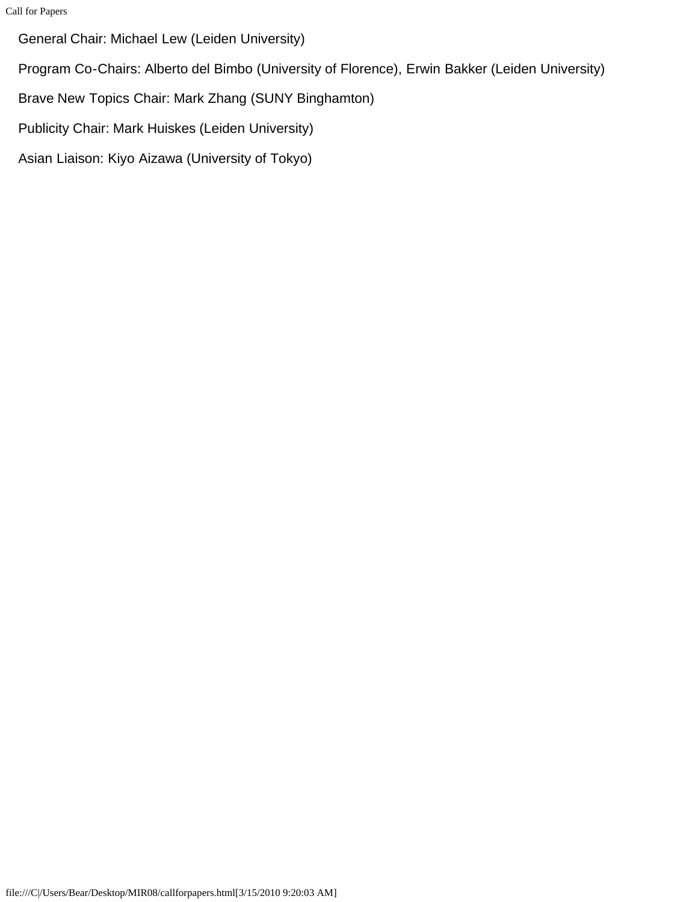Call for Papers

General Chair: Michael Lew (Leiden University)

Program Co-Chairs: Alberto del Bimbo (University of Florence), Erwin Bakker (Leiden University)

Brave New Topics Chair: Mark Zhang (SUNY Binghamton)

Publicity Chair: Mark Huiskes (Leiden University)

Asian Liaison: Kiyo Aizawa (University of Tokyo)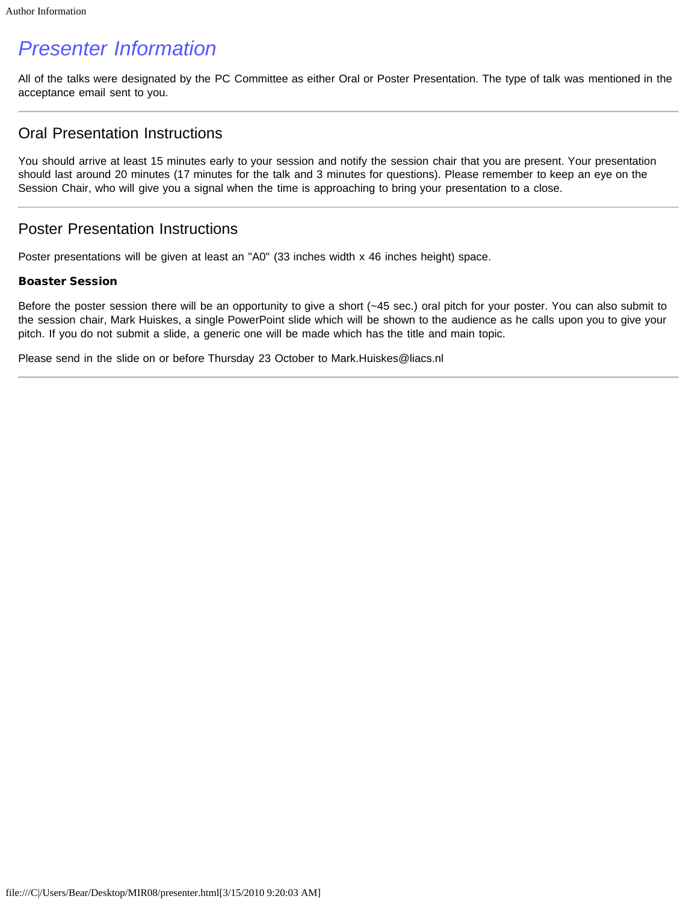# <span id="page-14-0"></span>*Presenter Information*

All of the talks were designated by the PC Committee as either Oral or Poster Presentation. The type of talk was mentioned in the acceptance email sent to you.

### Oral Presentation Instructions

You should arrive at least 15 minutes early to your session and notify the session chair that you are present. Your presentation should last around 20 minutes (17 minutes for the talk and 3 minutes for questions). Please remember to keep an eye on the Session Chair, who will give you a signal when the time is approaching to bring your presentation to a close.

### Poster Presentation Instructions

Poster presentations will be given at least an "A0" (33 inches width x 46 inches height) space.

### Boaster Session

Before the poster session there will be an opportunity to give a short (~45 sec.) oral pitch for your poster. You can also submit to the session chair, Mark Huiskes, a single PowerPoint slide which will be shown to the audience as he calls upon you to give your pitch. If you do not submit a slide, a generic one will be made which has the title and main topic.

Please send in the slide on or before Thursday 23 October to Mark.Huiskes@liacs.nl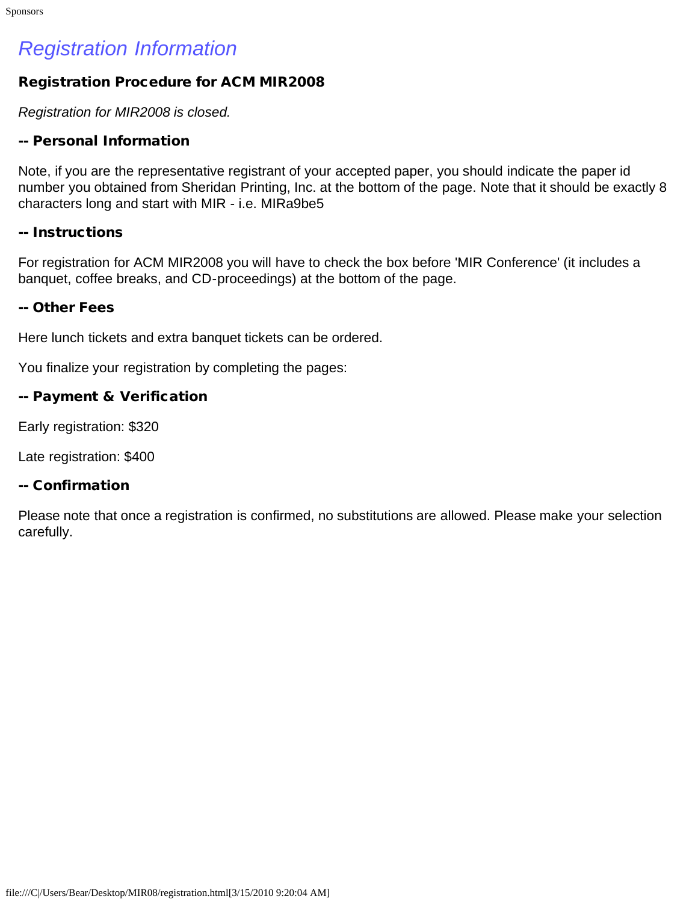# <span id="page-15-0"></span>*Registration Information*

### Registration Procedure for ACM MIR2008

*Registration for MIR2008 is closed.*

### -- Personal Information

Note, if you are the representative registrant of your accepted paper, you should indicate the paper id number you obtained from Sheridan Printing, Inc. at the bottom of the page. Note that it should be exactly 8 characters long and start with MIR - i.e. MIRa9be5

### -- Instructions

For registration for ACM MIR2008 you will have to check the box before 'MIR Conference' (it includes a banquet, coffee breaks, and CD-proceedings) at the bottom of the page.

### -- Other Fees

Here lunch tickets and extra banquet tickets can be ordered.

You finalize your registration by completing the pages:

### -- Payment & Verification

Early registration: \$320

Late registration: \$400

### -- Confirmation

Please note that once a registration is confirmed, no substitutions are allowed. Please make your selection carefully.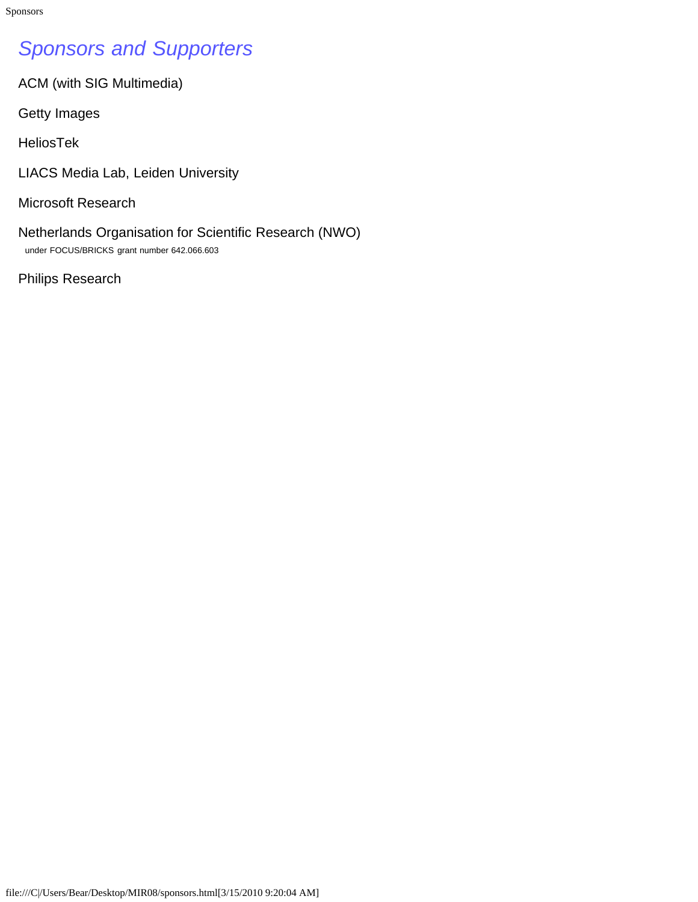# <span id="page-16-0"></span>*Sponsors and Supporters*

ACM (with SIG Multimedia)

Getty Images

HeliosTek

LIACS Media Lab, Leiden University

Microsoft Research

Netherlands Organisation for Scientific Research (NWO) under FOCUS/BRICKS grant number 642.066.603

Philips Research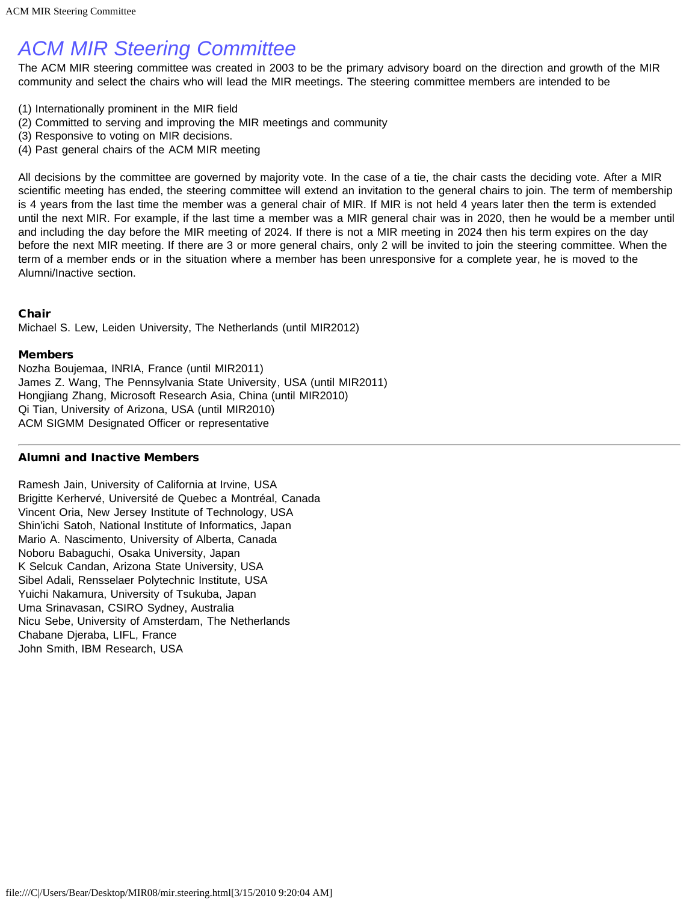# <span id="page-17-0"></span>*ACM MIR Steering Committee*

The ACM MIR steering committee was created in 2003 to be the primary advisory board on the direction and growth of the MIR community and select the chairs who will lead the MIR meetings. The steering committee members are intended to be

- (1) Internationally prominent in the MIR field
- (2) Committed to serving and improving the MIR meetings and community
- (3) Responsive to voting on MIR decisions.
- (4) Past general chairs of the ACM MIR meeting

All decisions by the committee are governed by majority vote. In the case of a tie, the chair casts the deciding vote. After a MIR scientific meeting has ended, the steering committee will extend an invitation to the general chairs to join. The term of membership is 4 years from the last time the member was a general chair of MIR. If MIR is not held 4 years later then the term is extended until the next MIR. For example, if the last time a member was a MIR general chair was in 2020, then he would be a member until and including the day before the MIR meeting of 2024. If there is not a MIR meeting in 2024 then his term expires on the day before the next MIR meeting. If there are 3 or more general chairs, only 2 will be invited to join the steering committee. When the term of a member ends or in the situation where a member has been unresponsive for a complete year, he is moved to the Alumni/Inactive section.

### Chair

Michael S. Lew, Leiden University, The Netherlands (until MIR2012)

### Members

Nozha Boujemaa, INRIA, France (until MIR2011) James Z. Wang, The Pennsylvania State University, USA (until MIR2011) Hongjiang Zhang, Microsoft Research Asia, China (until MIR2010) Qi Tian, University of Arizona, USA (until MIR2010) ACM SIGMM Designated Officer or representative

### Alumni and Inactive Members

Ramesh Jain, University of California at Irvine, USA Brigitte Kerhervé, Université de Quebec a Montréal, Canada Vincent Oria, New Jersey Institute of Technology, USA Shin'ichi Satoh, National Institute of Informatics, Japan Mario A. Nascimento, University of Alberta, Canada Noboru Babaguchi, Osaka University, Japan K Selcuk Candan, Arizona State University, USA Sibel Adali, Rensselaer Polytechnic Institute, USA Yuichi Nakamura, University of Tsukuba, Japan Uma Srinavasan, CSIRO Sydney, Australia Nicu Sebe, University of Amsterdam, The Netherlands Chabane Djeraba, LIFL, France John Smith, IBM Research, USA